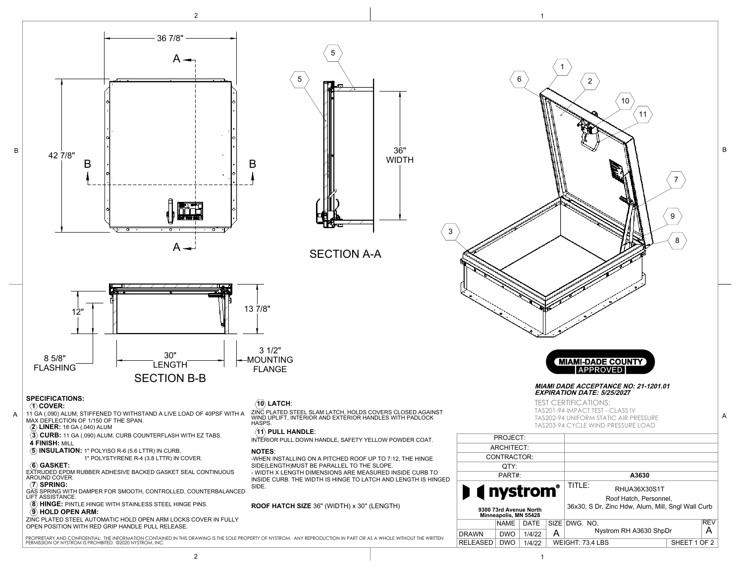